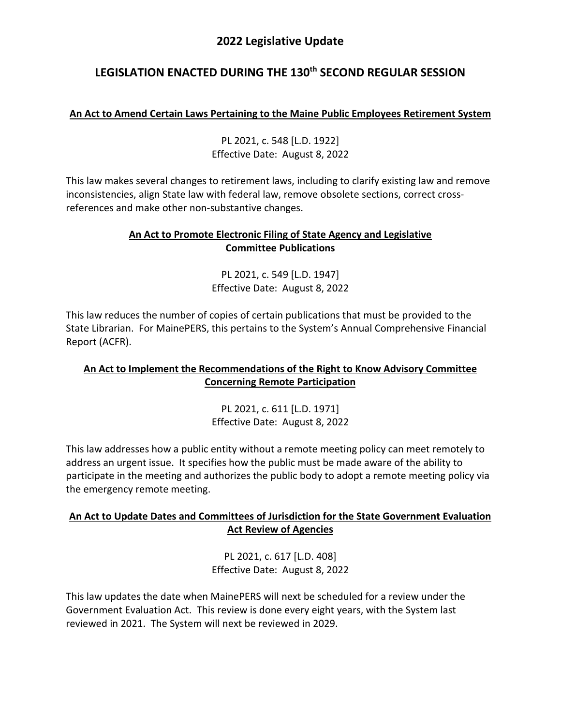# **2022 Legislative Update**

# **LEGISLATION ENACTED DURING THE 130th SECOND REGULAR SESSION**

### **An Act to Amend Certain Laws Pertaining to the Maine Public Employees Retirement System**

PL 2021, c. 548 [L.D. 1922] Effective Date: August 8, 2022

This law makes several changes to retirement laws, including to clarify existing law and remove inconsistencies, align State law with federal law, remove obsolete sections, correct crossreferences and make other non-substantive changes.

### **An Act to Promote Electronic Filing of State Agency and Legislative Committee Publications**

PL 2021, c. 549 [L.D. 1947] Effective Date: August 8, 2022

This law reduces the number of copies of certain publications that must be provided to the State Librarian. For MainePERS, this pertains to the System's Annual Comprehensive Financial Report (ACFR).

# **An Act to Implement the Recommendations of the Right to Know Advisory Committee Concerning Remote Participation**

PL 2021, c. 611 [L.D. 1971] Effective Date: August 8, 2022

This law addresses how a public entity without a remote meeting policy can meet remotely to address an urgent issue. It specifies how the public must be made aware of the ability to participate in the meeting and authorizes the public body to adopt a remote meeting policy via the emergency remote meeting.

## **An Act to Update Dates and Committees of Jurisdiction for the State Government Evaluation Act Review of Agencies**

PL 2021, c. 617 [L.D. 408] Effective Date: August 8, 2022

This law updates the date when MainePERS will next be scheduled for a review under the Government Evaluation Act. This review is done every eight years, with the System last reviewed in 2021. The System will next be reviewed in 2029.